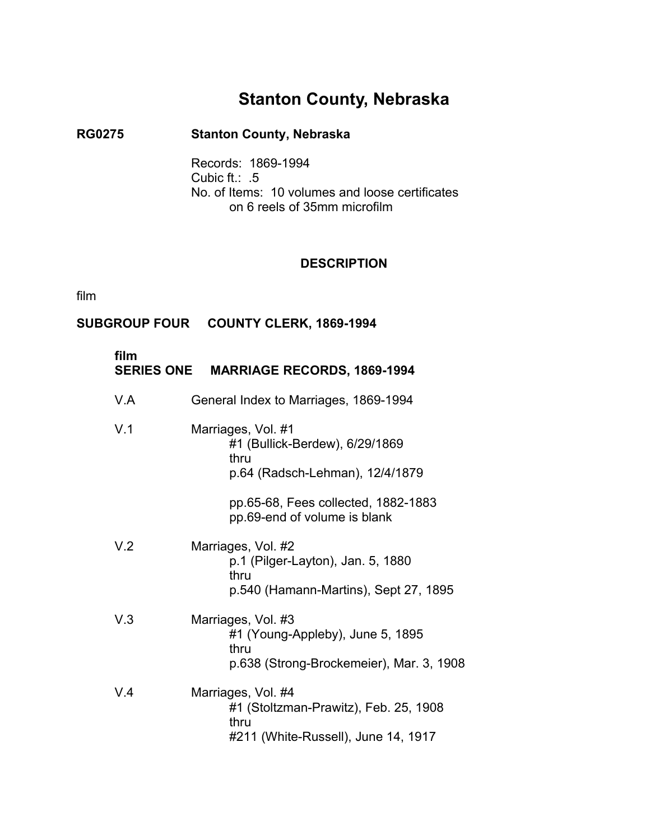# **Stanton County, Nebraska**

## **RG0275** � **Stanton County, Nebraska**

Records: 1869-1994 Cubic ft.: .5 No. of Items: 10 volumes and loose certificates on 6 reels of 35mm microfilm

### **DESCRIPTION**

film

## **SUBGROUP FOUR COUNTY CLERK, 1869-1994**

| film | SERIES ONE MARRIAGE RECORDS, 1869-1994                                                                     |  |
|------|------------------------------------------------------------------------------------------------------------|--|
| V.A  | General Index to Marriages, 1869-1994                                                                      |  |
| V.1  | Marriages, Vol. #1<br>#1 (Bullick-Berdew), 6/29/1869<br>thru<br>p.64 (Radsch-Lehman), 12/4/1879            |  |
|      | pp.65-68, Fees collected, 1882-1883<br>pp.69-end of volume is blank                                        |  |
| V.2  | Marriages, Vol. #2<br>p.1 (Pilger-Layton), Jan. 5, 1880<br>thru<br>p.540 (Hamann-Martins), Sept 27, 1895   |  |
| V.3  | Marriages, Vol. #3<br>#1 (Young-Appleby), June 5, 1895<br>thru<br>p.638 (Strong-Brockemeier), Mar. 3, 1908 |  |
| V.4  | Marriages, Vol. #4<br>#1 (Stoltzman-Prawitz), Feb. 25, 1908<br>thru<br>#211 (White-Russell), June 14, 1917 |  |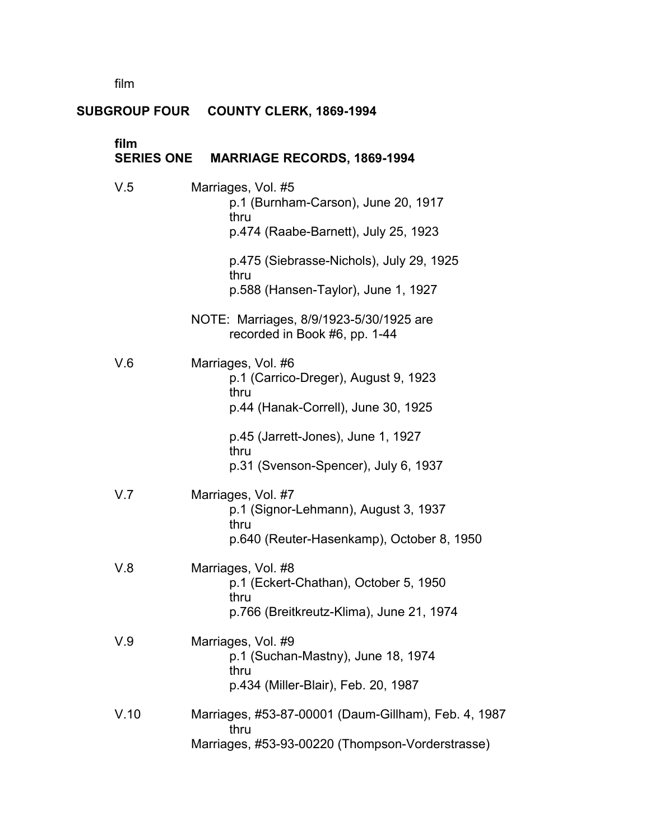film �

# **SUBGROUP FOUR COUNTY CLERK, 1869-1994**

| film | SERIES ONE MARRIAGE RECORDS, 1869-1994                                                                           |
|------|------------------------------------------------------------------------------------------------------------------|
| V.5  | Marriages, Vol. #5<br>p.1 (Burnham-Carson), June 20, 1917<br>thru<br>p.474 (Raabe-Barnett), July 25, 1923        |
|      | p.475 (Siebrasse-Nichols), July 29, 1925<br>thru<br>p.588 (Hansen-Taylor), June 1, 1927                          |
|      | NOTE: Marriages, 8/9/1923-5/30/1925 are<br>recorded in Book #6, pp. 1-44                                         |
| V.6  | Marriages, Vol. #6<br>p.1 (Carrico-Dreger), August 9, 1923<br>thru<br>p.44 (Hanak-Correll), June 30, 1925        |
|      | p.45 (Jarrett-Jones), June 1, 1927<br>thru<br>p.31 (Svenson-Spencer), July 6, 1937                               |
| V.7  | Marriages, Vol. #7<br>p.1 (Signor-Lehmann), August 3, 1937<br>thru<br>p.640 (Reuter-Hasenkamp), October 8, 1950  |
| V.8  | Marriages, Vol. #8<br>p.1 (Eckert-Chathan), October 5, 1950<br>thru<br>p.766 (Breitkreutz-Klima), June 21, 1974  |
| V.9  | Marriages, Vol. #9<br>p.1 (Suchan-Mastny), June 18, 1974<br>thru<br>p.434 (Miller-Blair), Feb. 20, 1987          |
| V.10 | Marriages, #53-87-00001 (Daum-Gillham), Feb. 4, 1987<br>thru<br>Marriages, #53-93-00220 (Thompson-Vorderstrasse) |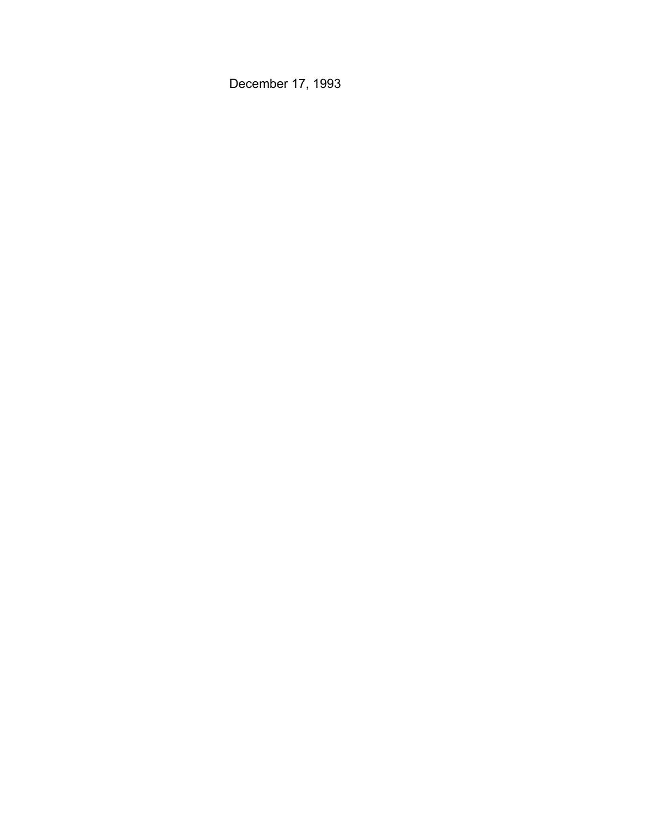December 17, 1993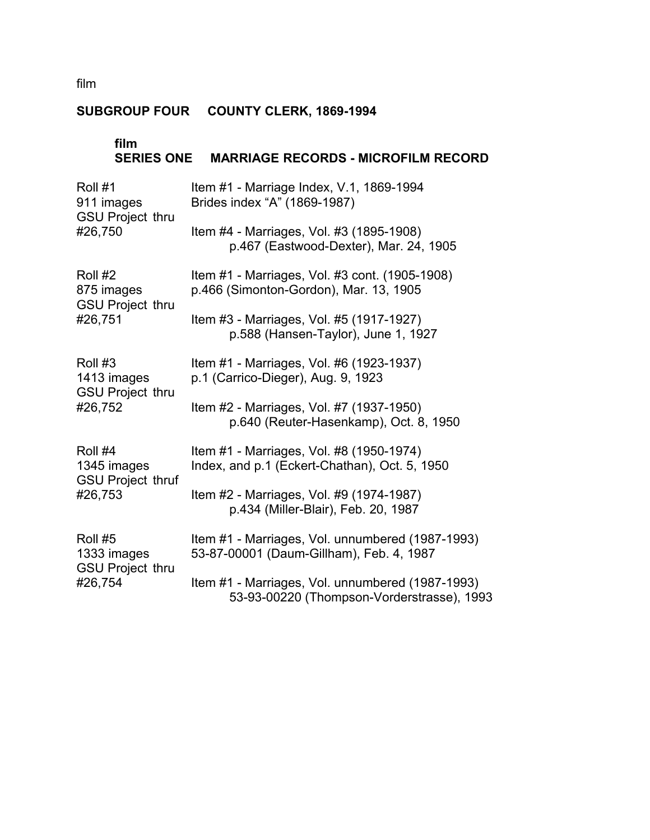film

# **SUBGROUP FOUR COUNTY CLERK, 1869-1994**

| film<br><b>SERIES ONE</b>                          | <b>MARRIAGE RECORDS - MICROFILM RECORD</b>                                                     |
|----------------------------------------------------|------------------------------------------------------------------------------------------------|
| Roll #1<br>911 images<br><b>GSU Project thru</b>   | Item #1 - Marriage Index, V.1, 1869-1994<br>Brides index "A" (1869-1987)                       |
| #26,750                                            | Item #4 - Marriages, Vol. #3 (1895-1908)<br>p.467 (Eastwood-Dexter), Mar. 24, 1905             |
| Roll #2<br>875 images<br><b>GSU Project thru</b>   | Item #1 - Marriages, Vol. #3 cont. (1905-1908)<br>p.466 (Simonton-Gordon), Mar. 13, 1905       |
| #26,751                                            | Item #3 - Marriages, Vol. #5 (1917-1927)<br>p.588 (Hansen-Taylor), June 1, 1927                |
| Roll #3<br>1413 images<br><b>GSU Project thru</b>  | Item #1 - Marriages, Vol. #6 (1923-1937)<br>p.1 (Carrico-Dieger), Aug. 9, 1923                 |
| #26,752                                            | Item #2 - Marriages, Vol. #7 (1937-1950)<br>p.640 (Reuter-Hasenkamp), Oct. 8, 1950             |
| Roll #4<br>1345 images<br><b>GSU Project thruf</b> | Item #1 - Marriages, Vol. #8 (1950-1974)<br>Index, and p.1 (Eckert-Chathan), Oct. 5, 1950      |
| #26,753                                            | Item #2 - Marriages, Vol. #9 (1974-1987)<br>p.434 (Miller-Blair), Feb. 20, 1987                |
| Roll #5<br>1333 images<br><b>GSU Project thru</b>  | Item #1 - Marriages, Vol. unnumbered (1987-1993)<br>53-87-00001 (Daum-Gillham), Feb. 4, 1987   |
| #26,754                                            | Item #1 - Marriages, Vol. unnumbered (1987-1993)<br>53-93-00220 (Thompson-Vorderstrasse), 1993 |